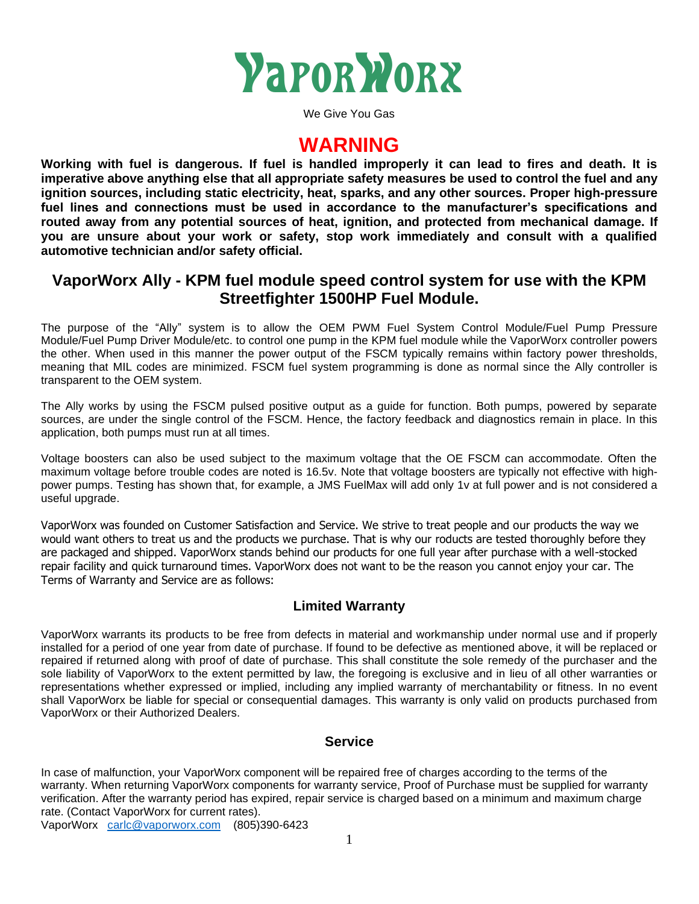

We Give You Gas

# **WARNING**

**Working with fuel is dangerous. If fuel is handled improperly it can lead to fires and death. It is imperative above anything else that all appropriate safety measures be used to control the fuel and any ignition sources, including static electricity, heat, sparks, and any other sources. Proper high-pressure fuel lines and connections must be used in accordance to the manufacturer's specifications and routed away from any potential sources of heat, ignition, and protected from mechanical damage. If you are unsure about your work or safety, stop work immediately and consult with a qualified automotive technician and/or safety official.**

### **VaporWorx Ally - KPM fuel module speed control system for use with the KPM Streetfighter 1500HP Fuel Module.**

The purpose of the "Ally" system is to allow the OEM PWM Fuel System Control Module/Fuel Pump Pressure Module/Fuel Pump Driver Module/etc. to control one pump in the KPM fuel module while the VaporWorx controller powers the other. When used in this manner the power output of the FSCM typically remains within factory power thresholds, meaning that MIL codes are minimized. FSCM fuel system programming is done as normal since the Ally controller is transparent to the OEM system.

The Ally works by using the FSCM pulsed positive output as a guide for function. Both pumps, powered by separate sources, are under the single control of the FSCM. Hence, the factory feedback and diagnostics remain in place. In this application, both pumps must run at all times.

Voltage boosters can also be used subject to the maximum voltage that the OE FSCM can accommodate. Often the maximum voltage before trouble codes are noted is 16.5v. Note that voltage boosters are typically not effective with highpower pumps. Testing has shown that, for example, a JMS FuelMax will add only 1v at full power and is not considered a useful upgrade.

VaporWorx was founded on Customer Satisfaction and Service. We strive to treat people and our products the way we would want others to treat us and the products we purchase. That is why our roducts are tested thoroughly before they are packaged and shipped. VaporWorx stands behind our products for one full year after purchase with a well-stocked repair facility and quick turnaround times. VaporWorx does not want to be the reason you cannot enjoy your car. The Terms of Warranty and Service are as follows:

### **Limited Warranty**

VaporWorx warrants its products to be free from defects in material and workmanship under normal use and if properly installed for a period of one year from date of purchase. If found to be defective as mentioned above, it will be replaced or repaired if returned along with proof of date of purchase. This shall constitute the sole remedy of the purchaser and the sole liability of VaporWorx to the extent permitted by law, the foregoing is exclusive and in lieu of all other warranties or representations whether expressed or implied, including any implied warranty of merchantability or fitness. In no event shall VaporWorx be liable for special or consequential damages. This warranty is only valid on products purchased from VaporWorx or their Authorized Dealers.

#### **Service**

In case of malfunction, your VaporWorx component will be repaired free of charges according to the terms of the warranty. When returning VaporWorx components for warranty service, Proof of Purchase must be supplied for warranty verification. After the warranty period has expired, repair service is charged based on a minimum and maximum charge rate. (Contact VaporWorx for current rates).

VaporWorx [carlc@vaporworx.com](mailto:carlc@vaporworx.com) (805)390-6423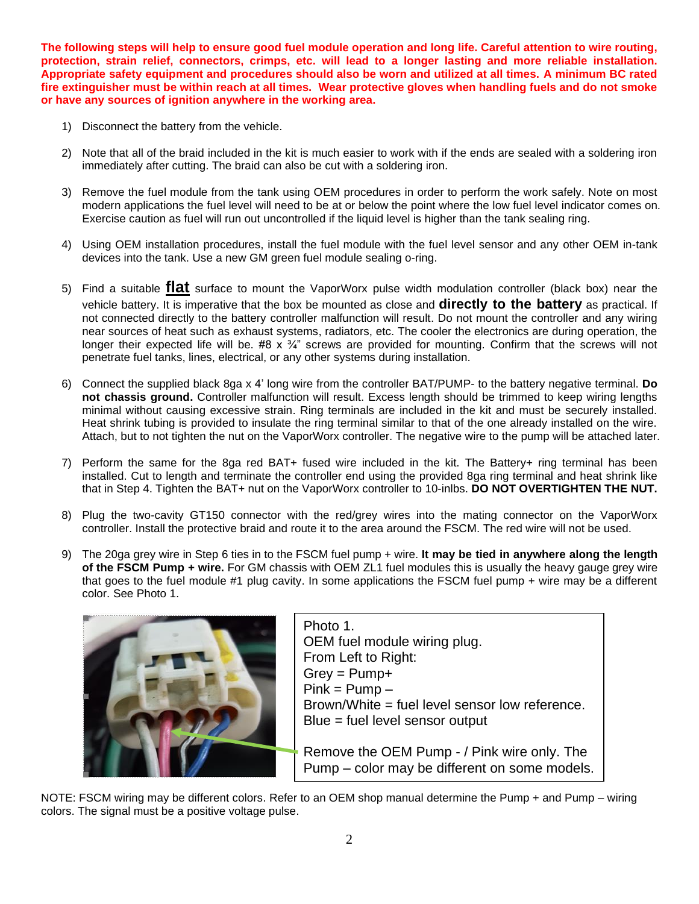**The following steps will help to ensure good fuel module operation and long life. Careful attention to wire routing, protection, strain relief, connectors, crimps, etc. will lead to a longer lasting and more reliable installation. Appropriate safety equipment and procedures should also be worn and utilized at all times. A minimum BC rated fire extinguisher must be within reach at all times. Wear protective gloves when handling fuels and do not smoke or have any sources of ignition anywhere in the working area.** 

- 1) Disconnect the battery from the vehicle.
- 2) Note that all of the braid included in the kit is much easier to work with if the ends are sealed with a soldering iron immediately after cutting. The braid can also be cut with a soldering iron.
- 3) Remove the fuel module from the tank using OEM procedures in order to perform the work safely. Note on most modern applications the fuel level will need to be at or below the point where the low fuel level indicator comes on. Exercise caution as fuel will run out uncontrolled if the liquid level is higher than the tank sealing ring.
- 4) Using OEM installation procedures, install the fuel module with the fuel level sensor and any other OEM in-tank devices into the tank. Use a new GM green fuel module sealing o-ring.
- 5) Find a suitable **flat** surface to mount the VaporWorx pulse width modulation controller (black box) near the vehicle battery. It is imperative that the box be mounted as close and **directly to the battery** as practical. If not connected directly to the battery controller malfunction will result. Do not mount the controller and any wiring near sources of heat such as exhaust systems, radiators, etc. The cooler the electronics are during operation, the longer their expected life will be. #8  $\times$   $\frac{3}{4}$ " screws are provided for mounting. Confirm that the screws will not penetrate fuel tanks, lines, electrical, or any other systems during installation.
- 6) Connect the supplied black 8ga x 4' long wire from the controller BAT/PUMP- to the battery negative terminal. **Do not chassis ground.** Controller malfunction will result. Excess length should be trimmed to keep wiring lengths minimal without causing excessive strain. Ring terminals are included in the kit and must be securely installed. Heat shrink tubing is provided to insulate the ring terminal similar to that of the one already installed on the wire. Attach, but to not tighten the nut on the VaporWorx controller. The negative wire to the pump will be attached later.
- 7) Perform the same for the 8ga red BAT+ fused wire included in the kit. The Battery+ ring terminal has been installed. Cut to length and terminate the controller end using the provided 8ga ring terminal and heat shrink like that in Step 4. Tighten the BAT+ nut on the VaporWorx controller to 10-inlbs. **DO NOT OVERTIGHTEN THE NUT.**
- 8) Plug the two-cavity GT150 connector with the red/grey wires into the mating connector on the VaporWorx controller. Install the protective braid and route it to the area around the FSCM. The red wire will not be used.
- 9) The 20ga grey wire in Step 6 ties in to the FSCM fuel pump + wire. **It may be tied in anywhere along the length of the FSCM Pump + wire.** For GM chassis with OEM ZL1 fuel modules this is usually the heavy gauge grey wire that goes to the fuel module #1 plug cavity. In some applications the FSCM fuel pump + wire may be a different color. See Photo 1.



NOTE: FSCM wiring may be different colors. Refer to an OEM shop manual determine the Pump + and Pump – wiring colors. The signal must be a positive voltage pulse.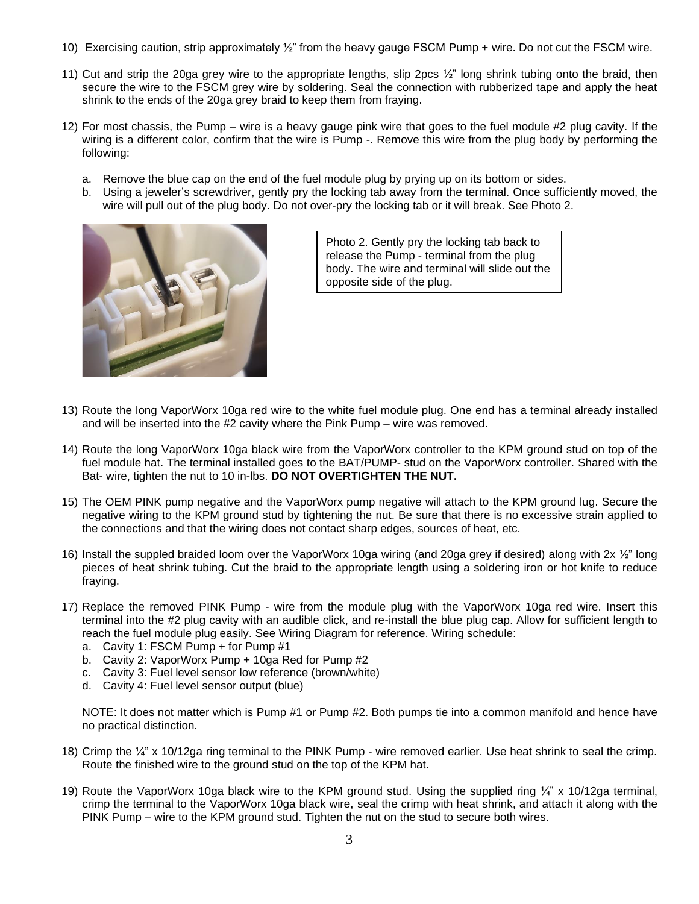- 10) Exercising caution, strip approximately ½" from the heavy gauge FSCM Pump + wire. Do not cut the FSCM wire.
- 11) Cut and strip the 20ga grey wire to the appropriate lengths, slip 2pcs ½" long shrink tubing onto the braid, then secure the wire to the FSCM grey wire by soldering. Seal the connection with rubberized tape and apply the heat shrink to the ends of the 20ga grey braid to keep them from fraying.
- 12) For most chassis, the Pump wire is a heavy gauge pink wire that goes to the fuel module #2 plug cavity. If the wiring is a different color, confirm that the wire is Pump -. Remove this wire from the plug body by performing the following:
	- a. Remove the blue cap on the end of the fuel module plug by prying up on its bottom or sides.
	- b. Using a jeweler's screwdriver, gently pry the locking tab away from the terminal. Once sufficiently moved, the wire will pull out of the plug body. Do not over-pry the locking tab or it will break. See Photo 2.



Photo 2. Gently pry the locking tab back to release the Pump - terminal from the plug body. The wire and terminal will slide out the opposite side of the plug.

- 13) Route the long VaporWorx 10ga red wire to the white fuel module plug. One end has a terminal already installed and will be inserted into the #2 cavity where the Pink Pump – wire was removed.
- 14) Route the long VaporWorx 10ga black wire from the VaporWorx controller to the KPM ground stud on top of the fuel module hat. The terminal installed goes to the BAT/PUMP- stud on the VaporWorx controller. Shared with the Bat- wire, tighten the nut to 10 in-lbs. **DO NOT OVERTIGHTEN THE NUT.**
- 15) The OEM PINK pump negative and the VaporWorx pump negative will attach to the KPM ground lug. Secure the negative wiring to the KPM ground stud by tightening the nut. Be sure that there is no excessive strain applied to the connections and that the wiring does not contact sharp edges, sources of heat, etc.
- 16) Install the suppled braided loom over the VaporWorx 10ga wiring (and 20ga grey if desired) along with  $2x \frac{1}{2}$ " long pieces of heat shrink tubing. Cut the braid to the appropriate length using a soldering iron or hot knife to reduce fraying.
- 17) Replace the removed PINK Pump wire from the module plug with the VaporWorx 10ga red wire. Insert this terminal into the #2 plug cavity with an audible click, and re-install the blue plug cap. Allow for sufficient length to reach the fuel module plug easily. See Wiring Diagram for reference. Wiring schedule:
	- a. Cavity 1: FSCM Pump + for Pump #1
	- b. Cavity 2: VaporWorx Pump + 10ga Red for Pump #2
	- c. Cavity 3: Fuel level sensor low reference (brown/white)
	- d. Cavity 4: Fuel level sensor output (blue)

NOTE: It does not matter which is Pump #1 or Pump #2. Both pumps tie into a common manifold and hence have no practical distinction.

- 18) Crimp the ¼" x 10/12ga ring terminal to the PINK Pump wire removed earlier. Use heat shrink to seal the crimp. Route the finished wire to the ground stud on the top of the KPM hat.
- 19) Route the VaporWorx 10ga black wire to the KPM ground stud. Using the supplied ring ¼" x 10/12ga terminal, crimp the terminal to the VaporWorx 10ga black wire, seal the crimp with heat shrink, and attach it along with the PINK Pump – wire to the KPM ground stud. Tighten the nut on the stud to secure both wires.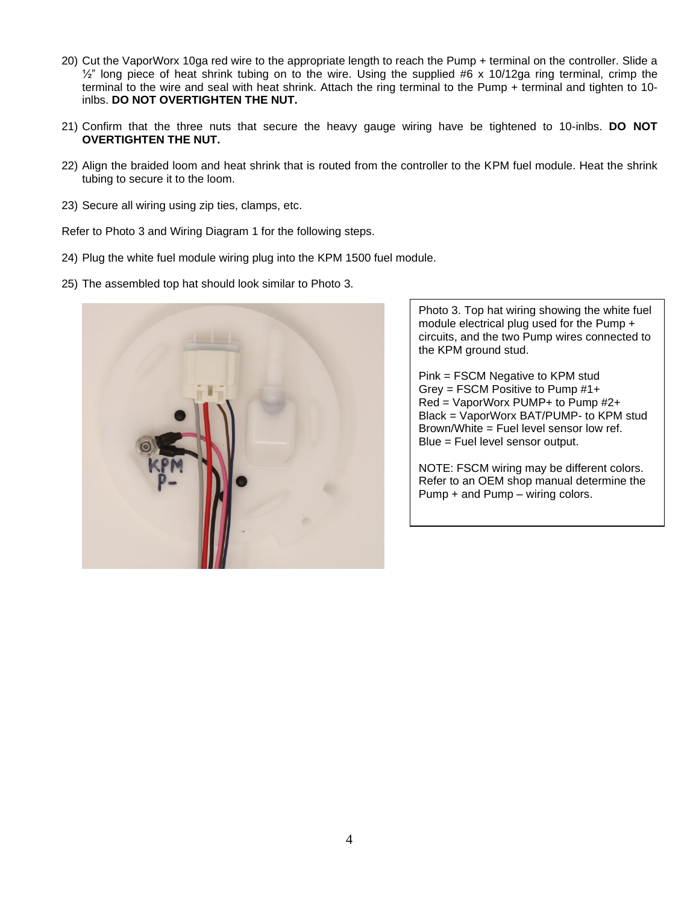- 20) Cut the VaporWorx 10ga red wire to the appropriate length to reach the Pump + terminal on the controller. Slide a  $\frac{1}{2}$ " long piece of heat shrink tubing on to the wire. Using the supplied #6 x 10/12ga ring terminal, crimp the terminal to the wire and seal with heat shrink. Attach the ring terminal to the Pump + terminal and tighten to 10 inlbs. **DO NOT OVERTIGHTEN THE NUT.**
- 21) Confirm that the three nuts that secure the heavy gauge wiring have be tightened to 10-inlbs. **DO NOT OVERTIGHTEN THE NUT.**
- 22) Align the braided loom and heat shrink that is routed from the controller to the KPM fuel module. Heat the shrink tubing to secure it to the loom.
- 23) Secure all wiring using zip ties, clamps, etc.

Refer to Photo 3 and Wiring Diagram 1 for the following steps.

- 24) Plug the white fuel module wiring plug into the KPM 1500 fuel module.
- 25) The assembled top hat should look similar to Photo 3.



Photo 3. Top hat wiring showing the white fuel module electrical plug used for the Pump + circuits, and the two Pump wires connected to the KPM ground stud.

Pink = FSCM Negative to KPM stud Grey = FSCM Positive to Pump #1+ Red = VaporWorx PUMP+ to Pump #2+ Black = VaporWorx BAT/PUMP- to KPM stud Brown/White = Fuel level sensor low ref. Blue = Fuel level sensor output.

NOTE: FSCM wiring may be different colors. Refer to an OEM shop manual determine the Pump + and Pump – wiring colors.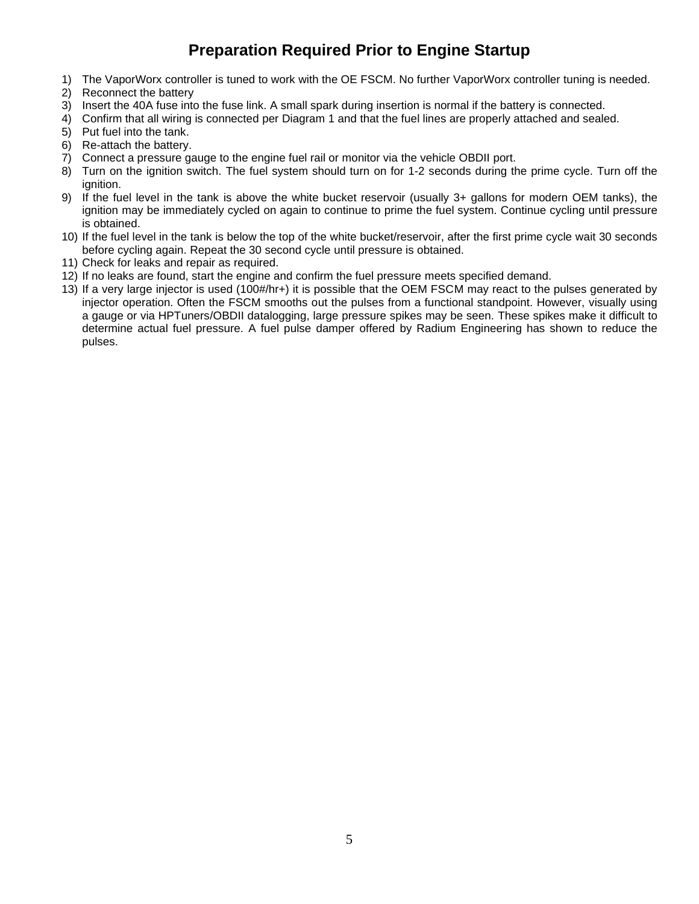## **Preparation Required Prior to Engine Startup**

- 1) The VaporWorx controller is tuned to work with the OE FSCM. No further VaporWorx controller tuning is needed.
- 2) Reconnect the battery
- 3) Insert the 40A fuse into the fuse link. A small spark during insertion is normal if the battery is connected.
- 4) Confirm that all wiring is connected per Diagram 1 and that the fuel lines are properly attached and sealed.
- 5) Put fuel into the tank.
- 6) Re-attach the battery.
- 7) Connect a pressure gauge to the engine fuel rail or monitor via the vehicle OBDII port.
- 8) Turn on the ignition switch. The fuel system should turn on for 1-2 seconds during the prime cycle. Turn off the ignition.
- 9) If the fuel level in the tank is above the white bucket reservoir (usually 3+ gallons for modern OEM tanks), the ignition may be immediately cycled on again to continue to prime the fuel system. Continue cycling until pressure is obtained.
- 10) If the fuel level in the tank is below the top of the white bucket/reservoir, after the first prime cycle wait 30 seconds before cycling again. Repeat the 30 second cycle until pressure is obtained.
- 11) Check for leaks and repair as required.
- 12) If no leaks are found, start the engine and confirm the fuel pressure meets specified demand.
- 13) If a very large injector is used (100#/hr+) it is possible that the OEM FSCM may react to the pulses generated by injector operation. Often the FSCM smooths out the pulses from a functional standpoint. However, visually using a gauge or via HPTuners/OBDII datalogging, large pressure spikes may be seen. These spikes make it difficult to determine actual fuel pressure. A fuel pulse damper offered by Radium Engineering has shown to reduce the pulses.